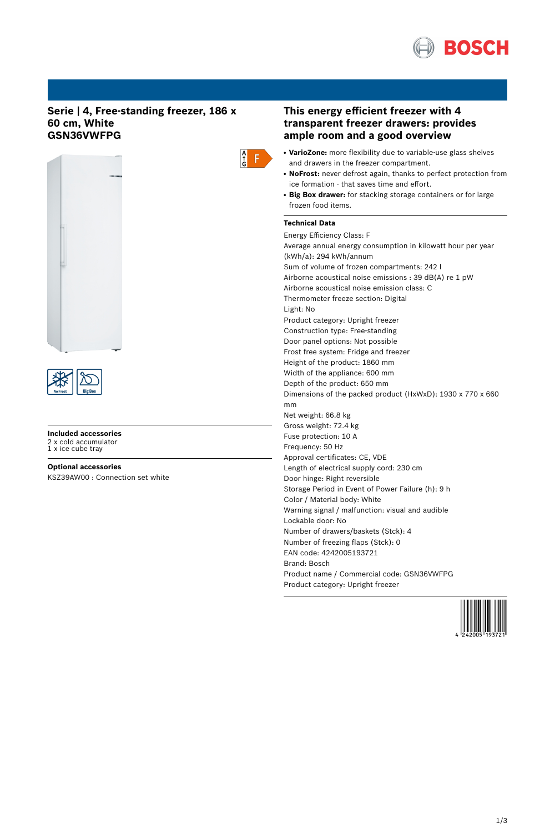

## **Serie | 4, Free-standing freezer, 186 x 60 cm, White GSN36VWFPG**





# **Included accessories** 2 x cold accumulator 1 x ice cube tray

**Optional accessories** KSZ39AW00 : Connection set white

## **This energy efficient freezer with 4 transparent freezer drawers: provides ample room and a good overview**

- **VarioZone:** more flexibility due to variable-use glass shelves and drawers in the freezer compartment.
- NoFrost: never defrost again, thanks to perfect protection from ice formation - that saves time and effort.
- **Big Box drawer:** for stacking storage containers or for large frozen food items.

## **Technical Data**

 $\frac{A}{G}$  $F$ 

> Energy Efficiency Class: F Average annual energy consumption in kilowatt hour per year (kWh/a): 294 kWh/annum Sum of volume of frozen compartments: 242 l Airborne acoustical noise emissions : 39 dB(A) re 1 pW Airborne acoustical noise emission class: C Thermometer freeze section: Digital Light: No Product category: Upright freezer Construction type: Free-standing Door panel options: Not possible Frost free system: Fridge and freezer Height of the product: 1860 mm Width of the appliance: 600 mm Depth of the product: 650 mm Dimensions of the packed product (HxWxD): 1930 x 770 x 660 mm Net weight: 66.8 kg Gross weight: 72.4 kg Fuse protection: 10 A Frequency: 50 Hz Approval certificates: CE, VDE Length of electrical supply cord: 230 cm Door hinge: Right reversible Storage Period in Event of Power Failure (h): 9 h Color / Material body: White Warning signal / malfunction: visual and audible Lockable door: No Number of drawers/baskets (Stck): 4 Number of freezing flaps (Stck): 0 EAN code: 4242005193721 Brand: Bosch Product name / Commercial code: GSN36VWFPG Product category: Upright freezer

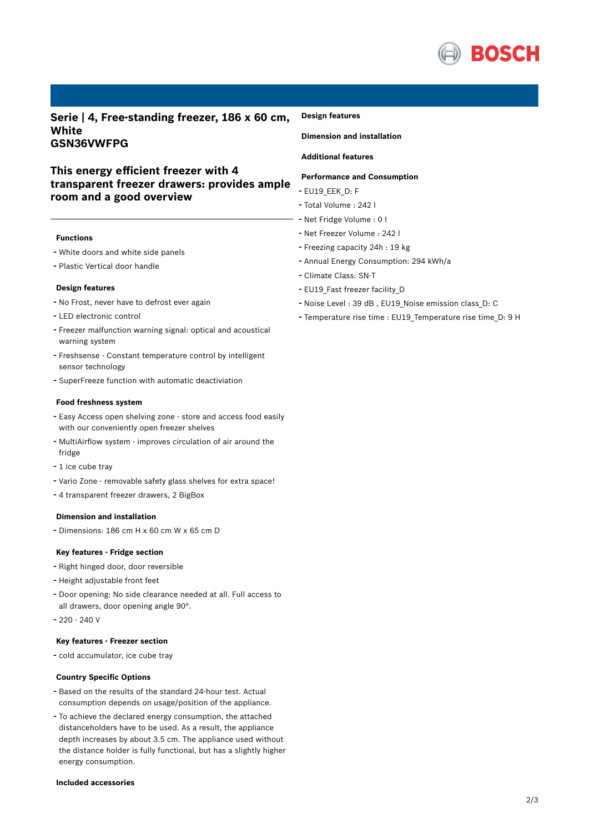

**Serie | 4, Free-standing freezer, 186 x 60 cm, White GSN36VWFPG**

# **This energy efficient freezer with 4 transparent freezer drawers: provides ample room and a good overview**

### **Functions**

- White doors and white side panels
- Plastic Vertical door handle

### **Design features**

- No Frost, never have to defrost ever again
- LED electronic control
- Freezer malfunction warning signal: optical and acoustical warning system
- Freshsense Constant temperature control by intelligent sensor technology
- SuperFreeze function with automatic deactiviation

### **Food freshness system**

- Easy Access open shelving zone store and access food easily with our conveniently open freezer shelves
- MultiAirflow system improves circulation of air around the fridge
- <sup>1</sup> ice cube tray
- Vario Zone removable safety glass shelves for extra space!
- <sup>4</sup> transparent freezer drawers, <sup>2</sup> BigBox

## **Dimension and installation**

- Dimensions: 186 cm H x 60 cm W x 65 cm D

### **Key features - Fridge section**

- Right hinged door, door reversible
- Height adjustable front feet
- Door opening: No side clearance needed at all. Full access to all drawers, door opening angle 90°.
- 220 240 V

## **Key features - Freezer section**

- cold accumulator, ice cube tray

## **Country Specific Options**

- Based on the results of the standard 24-hour test. Actual consumption depends on usage/position of the appliance.
- To achieve the declared energy consumption, the attached distanceholders have to be used. As a result, the appliance depth increases by about 3.5 cm. The appliance used without the distance holder is fully functional, but has a slightly higher energy consumption.

### **Included accessories**

#### **Design features**

**Dimension and installation**

## **Additional features**

### **Performance and Consumption**

- EU19\_EEK\_D: F
- Total Volume : <sup>242</sup> <sup>l</sup>
- Net Fridge Volume : <sup>0</sup> <sup>l</sup>
- Net Freezer Volume : <sup>242</sup> <sup>l</sup>
- Freezing capacity 24h : <sup>19</sup> kg
- Annual Energy Consumption: <sup>294</sup> kWh/a
- Climate Class: SN-T
- EU19 Fast freezer facility D
- Noise Level : <sup>39</sup> dB , EU19\_Noise emission class\_D: <sup>C</sup>
- Temperature rise time : EU19\_Temperature rise time\_D: <sup>9</sup> <sup>H</sup>